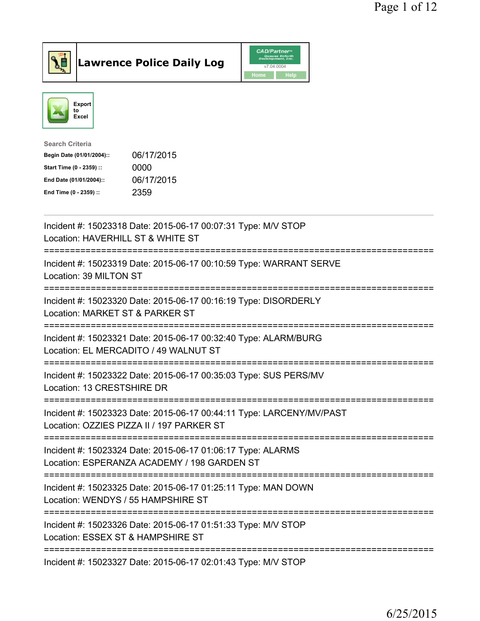



| 06/17/2015 |
|------------|
| 0000       |
| 06/17/2015 |
| 2359       |
|            |

| Incident #: 15023318 Date: 2015-06-17 00:07:31 Type: M/V STOP<br>Location: HAVERHILL ST & WHITE ST<br>=========                                   |
|---------------------------------------------------------------------------------------------------------------------------------------------------|
| Incident #: 15023319 Date: 2015-06-17 00:10:59 Type: WARRANT SERVE<br>Location: 39 MILTON ST<br>-----------------------------                     |
| Incident #: 15023320 Date: 2015-06-17 00:16:19 Type: DISORDERLY<br>Location: MARKET ST & PARKER ST<br>----------<br>========================      |
| Incident #: 15023321 Date: 2015-06-17 00:32:40 Type: ALARM/BURG<br>Location: EL MERCADITO / 49 WALNUT ST<br>:===========================          |
| Incident #: 15023322 Date: 2015-06-17 00:35:03 Type: SUS PERS/MV<br>Location: 13 CRESTSHIRE DR                                                    |
| Incident #: 15023323 Date: 2015-06-17 00:44:11 Type: LARCENY/MV/PAST<br>Location: OZZIES PIZZA II / 197 PARKER ST<br>============================ |
| Incident #: 15023324 Date: 2015-06-17 01:06:17 Type: ALARMS<br>Location: ESPERANZA ACADEMY / 198 GARDEN ST                                        |
| Incident #: 15023325 Date: 2015-06-17 01:25:11 Type: MAN DOWN<br>Location: WENDYS / 55 HAMPSHIRE ST                                               |
| Incident #: 15023326 Date: 2015-06-17 01:51:33 Type: M/V STOP<br>Location: ESSEX ST & HAMPSHIRE ST                                                |
| Incident #: 15023327 Date: 2015-06-17 02:01:43 Type: M/V STOP                                                                                     |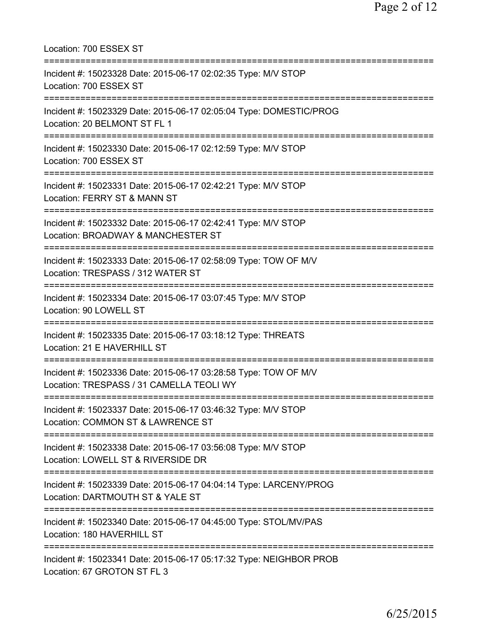| Location: 700 ESSEX ST<br>====================================                                                                                        |
|-------------------------------------------------------------------------------------------------------------------------------------------------------|
| Incident #: 15023328 Date: 2015-06-17 02:02:35 Type: M/V STOP<br>Location: 700 ESSEX ST                                                               |
| Incident #: 15023329 Date: 2015-06-17 02:05:04 Type: DOMESTIC/PROG<br>Location: 20 BELMONT ST FL 1<br>====================                            |
| Incident #: 15023330 Date: 2015-06-17 02:12:59 Type: M/V STOP<br>Location: 700 ESSEX ST                                                               |
| ;===================================<br>Incident #: 15023331 Date: 2015-06-17 02:42:21 Type: M/V STOP<br>Location: FERRY ST & MANN ST                 |
| Incident #: 15023332 Date: 2015-06-17 02:42:41 Type: M/V STOP<br>Location: BROADWAY & MANCHESTER ST<br>================================               |
| Incident #: 15023333 Date: 2015-06-17 02:58:09 Type: TOW OF M/V<br>Location: TRESPASS / 312 WATER ST<br>============================                  |
| Incident #: 15023334 Date: 2015-06-17 03:07:45 Type: M/V STOP<br>Location: 90 LOWELL ST                                                               |
| Incident #: 15023335 Date: 2015-06-17 03:18:12 Type: THREATS<br>Location: 21 E HAVERHILL ST                                                           |
| ======================================<br>Incident #: 15023336 Date: 2015-06-17 03:28:58 Type: TOW OF M/V<br>Location: TRESPASS / 31 CAMELLA TEOLI WY |
| Incident #: 15023337 Date: 2015-06-17 03:46:32 Type: M/V STOP<br>Location: COMMON ST & LAWRENCE ST                                                    |
| Incident #: 15023338 Date: 2015-06-17 03:56:08 Type: M/V STOP<br>Location: LOWELL ST & RIVERSIDE DR                                                   |
| Incident #: 15023339 Date: 2015-06-17 04:04:14 Type: LARCENY/PROG<br>Location: DARTMOUTH ST & YALE ST                                                 |
| Incident #: 15023340 Date: 2015-06-17 04:45:00 Type: STOL/MV/PAS<br>Location: 180 HAVERHILL ST                                                        |
| Incident #: 15023341 Date: 2015-06-17 05:17:32 Type: NEIGHBOR PROB<br>Location: 67 GROTON ST FL 3                                                     |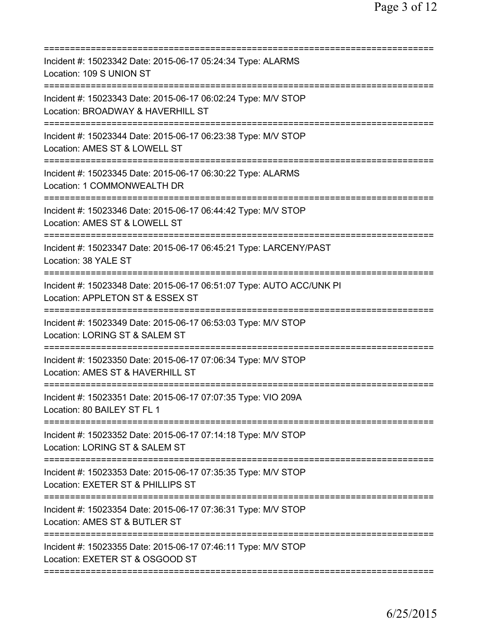| Incident #: 15023342 Date: 2015-06-17 05:24:34 Type: ALARMS<br>Location: 109 S UNION ST                     |
|-------------------------------------------------------------------------------------------------------------|
| Incident #: 15023343 Date: 2015-06-17 06:02:24 Type: M/V STOP<br>Location: BROADWAY & HAVERHILL ST          |
| Incident #: 15023344 Date: 2015-06-17 06:23:38 Type: M/V STOP<br>Location: AMES ST & LOWELL ST              |
| Incident #: 15023345 Date: 2015-06-17 06:30:22 Type: ALARMS<br>Location: 1 COMMONWEALTH DR                  |
| Incident #: 15023346 Date: 2015-06-17 06:44:42 Type: M/V STOP<br>Location: AMES ST & LOWELL ST              |
| Incident #: 15023347 Date: 2015-06-17 06:45:21 Type: LARCENY/PAST<br>Location: 38 YALE ST<br>============== |
| Incident #: 15023348 Date: 2015-06-17 06:51:07 Type: AUTO ACC/UNK PI<br>Location: APPLETON ST & ESSEX ST    |
| Incident #: 15023349 Date: 2015-06-17 06:53:03 Type: M/V STOP<br>Location: LORING ST & SALEM ST             |
| Incident #: 15023350 Date: 2015-06-17 07:06:34 Type: M/V STOP<br>Location: AMES ST & HAVERHILL ST           |
| Incident #: 15023351 Date: 2015-06-17 07:07:35 Type: VIO 209A<br>Location: 80 BAILEY ST FL 1                |
| Incident #: 15023352 Date: 2015-06-17 07:14:18 Type: M/V STOP<br>Location: LORING ST & SALEM ST             |
| Incident #: 15023353 Date: 2015-06-17 07:35:35 Type: M/V STOP<br>Location: EXETER ST & PHILLIPS ST          |
| Incident #: 15023354 Date: 2015-06-17 07:36:31 Type: M/V STOP<br>Location: AMES ST & BUTLER ST              |
| Incident #: 15023355 Date: 2015-06-17 07:46:11 Type: M/V STOP<br>Location: EXETER ST & OSGOOD ST            |
|                                                                                                             |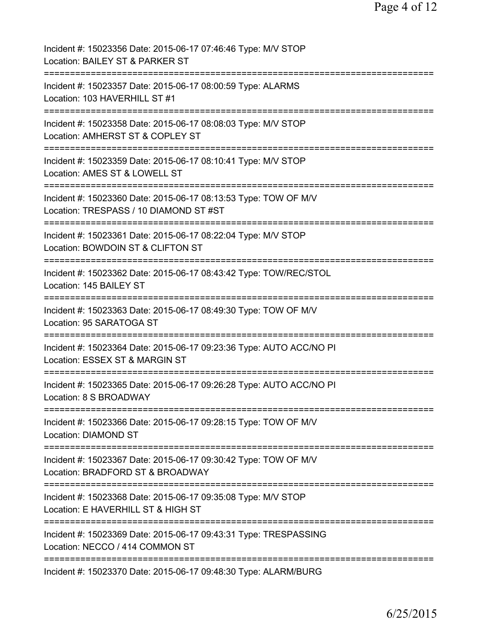| Incident #: 15023356 Date: 2015-06-17 07:46:46 Type: M/V STOP<br>Location: BAILEY ST & PARKER ST                                            |
|---------------------------------------------------------------------------------------------------------------------------------------------|
| Incident #: 15023357 Date: 2015-06-17 08:00:59 Type: ALARMS<br>Location: 103 HAVERHILL ST #1                                                |
| Incident #: 15023358 Date: 2015-06-17 08:08:03 Type: M/V STOP<br>Location: AMHERST ST & COPLEY ST                                           |
| Incident #: 15023359 Date: 2015-06-17 08:10:41 Type: M/V STOP<br>Location: AMES ST & LOWELL ST                                              |
| Incident #: 15023360 Date: 2015-06-17 08:13:53 Type: TOW OF M/V<br>Location: TRESPASS / 10 DIAMOND ST #ST                                   |
| Incident #: 15023361 Date: 2015-06-17 08:22:04 Type: M/V STOP<br>Location: BOWDOIN ST & CLIFTON ST                                          |
| Incident #: 15023362 Date: 2015-06-17 08:43:42 Type: TOW/REC/STOL<br>Location: 145 BAILEY ST                                                |
| Incident #: 15023363 Date: 2015-06-17 08:49:30 Type: TOW OF M/V<br>Location: 95 SARATOGA ST                                                 |
| Incident #: 15023364 Date: 2015-06-17 09:23:36 Type: AUTO ACC/NO PI<br>Location: ESSEX ST & MARGIN ST                                       |
| Incident #: 15023365 Date: 2015-06-17 09:26:28 Type: AUTO ACC/NO PI<br>Location: 8 S BROADWAY                                               |
| =========================<br>Incident #: 15023366 Date: 2015-06-17 09:28:15 Type: TOW OF M/V<br>Location: DIAMOND ST                        |
| :===================================<br>Incident #: 15023367 Date: 2015-06-17 09:30:42 Type: TOW OF M/V<br>Location: BRADFORD ST & BROADWAY |
| Incident #: 15023368 Date: 2015-06-17 09:35:08 Type: M/V STOP<br>Location: E HAVERHILL ST & HIGH ST                                         |
| Incident #: 15023369 Date: 2015-06-17 09:43:31 Type: TRESPASSING<br>Location: NECCO / 414 COMMON ST                                         |
| Incident #: 15023370 Date: 2015-06-17 09:48:30 Type: ALARM/BURG                                                                             |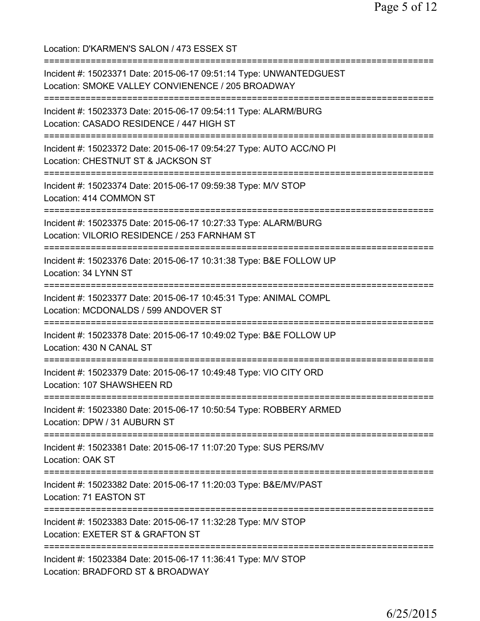Location: D'KARMEN'S SALON / 473 ESSEX ST =========================================================================== Incident #: 15023371 Date: 2015-06-17 09:51:14 Type: UNWANTEDGUEST Location: SMOKE VALLEY CONVIENENCE / 205 BROADWAY =========================================================================== Incident #: 15023373 Date: 2015-06-17 09:54:11 Type: ALARM/BURG Location: CASADO RESIDENCE / 447 HIGH ST =========================================================================== Incident #: 15023372 Date: 2015-06-17 09:54:27 Type: AUTO ACC/NO PI Location: CHESTNUT ST & JACKSON ST =========================================================================== Incident #: 15023374 Date: 2015-06-17 09:59:38 Type: M/V STOP Location: 414 COMMON ST =========================================================================== Incident #: 15023375 Date: 2015-06-17 10:27:33 Type: ALARM/BURG Location: VILORIO RESIDENCE / 253 FARNHAM ST =========================================================================== Incident #: 15023376 Date: 2015-06-17 10:31:38 Type: B&E FOLLOW UP Location: 34 LYNN ST =========================================================================== Incident #: 15023377 Date: 2015-06-17 10:45:31 Type: ANIMAL COMPL Location: MCDONALDS / 599 ANDOVER ST =========================================================================== Incident #: 15023378 Date: 2015-06-17 10:49:02 Type: B&E FOLLOW UP Location: 430 N CANAL ST =========================================================================== Incident #: 15023379 Date: 2015-06-17 10:49:48 Type: VIO CITY ORD Location: 107 SHAWSHEEN RD =========================================================================== Incident #: 15023380 Date: 2015-06-17 10:50:54 Type: ROBBERY ARMED Location: DPW / 31 AUBURN ST =========================================================================== Incident #: 15023381 Date: 2015-06-17 11:07:20 Type: SUS PERS/MV Location: OAK ST =========================================================================== Incident #: 15023382 Date: 2015-06-17 11:20:03 Type: B&E/MV/PAST Location: 71 EASTON ST =========================================================================== Incident #: 15023383 Date: 2015-06-17 11:32:28 Type: M/V STOP Location: EXETER ST & GRAFTON ST =========================================================================== Incident #: 15023384 Date: 2015-06-17 11:36:41 Type: M/V STOP Location: BRADFORD ST & BROADWAY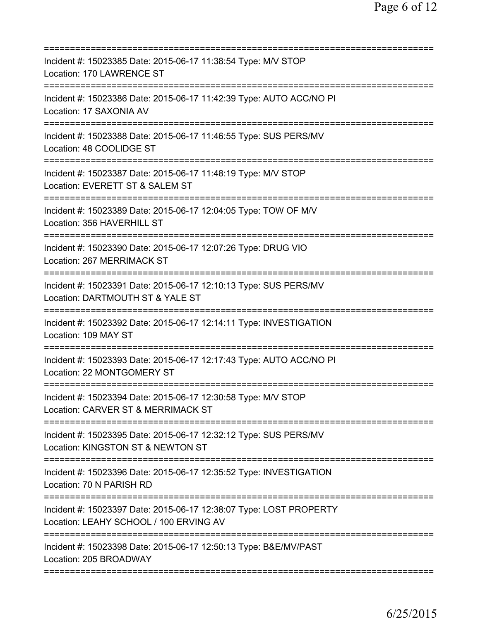| =========================                                                                                                              |
|----------------------------------------------------------------------------------------------------------------------------------------|
| Incident #: 15023385 Date: 2015-06-17 11:38:54 Type: M/V STOP<br>Location: 170 LAWRENCE ST                                             |
| Incident #: 15023386 Date: 2015-06-17 11:42:39 Type: AUTO ACC/NO PI<br>Location: 17 SAXONIA AV                                         |
| Incident #: 15023388 Date: 2015-06-17 11:46:55 Type: SUS PERS/MV<br>Location: 48 COOLIDGE ST<br>==============================         |
| Incident #: 15023387 Date: 2015-06-17 11:48:19 Type: M/V STOP<br>Location: EVERETT ST & SALEM ST<br>=======================<br>------- |
| Incident #: 15023389 Date: 2015-06-17 12:04:05 Type: TOW OF M/V<br>Location: 356 HAVERHILL ST                                          |
| Incident #: 15023390 Date: 2015-06-17 12:07:26 Type: DRUG VIO<br>Location: 267 MERRIMACK ST                                            |
| Incident #: 15023391 Date: 2015-06-17 12:10:13 Type: SUS PERS/MV<br>Location: DARTMOUTH ST & YALE ST                                   |
| Incident #: 15023392 Date: 2015-06-17 12:14:11 Type: INVESTIGATION<br>Location: 109 MAY ST                                             |
| Incident #: 15023393 Date: 2015-06-17 12:17:43 Type: AUTO ACC/NO PI<br>Location: 22 MONTGOMERY ST<br>=================                 |
| Incident #: 15023394 Date: 2015-06-17 12:30:58 Type: M/V STOP<br>Location: CARVER ST & MERRIMACK ST                                    |
| Incident #: 15023395 Date: 2015-06-17 12:32:12 Type: SUS PERS/MV<br>Location: KINGSTON ST & NEWTON ST                                  |
| Incident #: 15023396 Date: 2015-06-17 12:35:52 Type: INVESTIGATION<br>Location: 70 N PARISH RD                                         |
| Incident #: 15023397 Date: 2015-06-17 12:38:07 Type: LOST PROPERTY<br>Location: LEAHY SCHOOL / 100 ERVING AV                           |
| Incident #: 15023398 Date: 2015-06-17 12:50:13 Type: B&E/MV/PAST<br>Location: 205 BROADWAY                                             |
|                                                                                                                                        |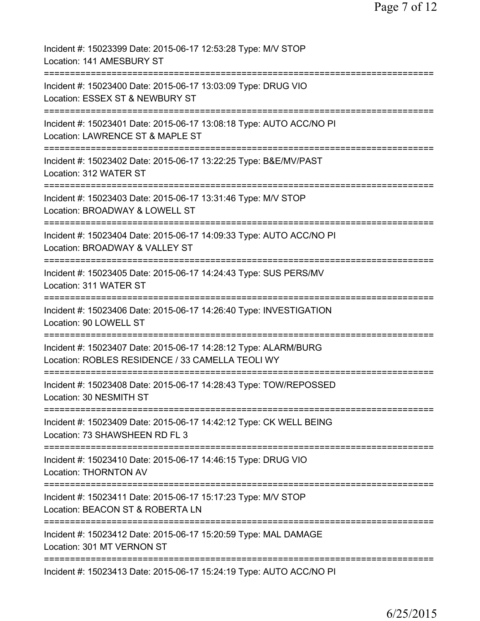| Incident #: 15023399 Date: 2015-06-17 12:53:28 Type: M/V STOP<br>Location: 141 AMESBURY ST                                                          |
|-----------------------------------------------------------------------------------------------------------------------------------------------------|
| Incident #: 15023400 Date: 2015-06-17 13:03:09 Type: DRUG VIO<br>Location: ESSEX ST & NEWBURY ST                                                    |
| Incident #: 15023401 Date: 2015-06-17 13:08:18 Type: AUTO ACC/NO PI<br>Location: LAWRENCE ST & MAPLE ST                                             |
| Incident #: 15023402 Date: 2015-06-17 13:22:25 Type: B&E/MV/PAST<br>Location: 312 WATER ST                                                          |
| Incident #: 15023403 Date: 2015-06-17 13:31:46 Type: M/V STOP<br>Location: BROADWAY & LOWELL ST<br>------------------------                         |
| Incident #: 15023404 Date: 2015-06-17 14:09:33 Type: AUTO ACC/NO PI<br>Location: BROADWAY & VALLEY ST                                               |
| Incident #: 15023405 Date: 2015-06-17 14:24:43 Type: SUS PERS/MV<br>Location: 311 WATER ST<br>=====================                                 |
| Incident #: 15023406 Date: 2015-06-17 14:26:40 Type: INVESTIGATION<br>Location: 90 LOWELL ST                                                        |
| Incident #: 15023407 Date: 2015-06-17 14:28:12 Type: ALARM/BURG<br>Location: ROBLES RESIDENCE / 33 CAMELLA TEOLI WY                                 |
| Incident #: 15023408 Date: 2015-06-17 14:28:43 Type: TOW/REPOSSED<br>Location: 30 NESMITH ST                                                        |
| Incident #: 15023409 Date: 2015-06-17 14:42:12 Type: CK WELL BEING<br>Location: 73 SHAWSHEEN RD FL 3                                                |
| =========================<br>=====================<br>Incident #: 15023410 Date: 2015-06-17 14:46:15 Type: DRUG VIO<br><b>Location: THORNTON AV</b> |
| Incident #: 15023411 Date: 2015-06-17 15:17:23 Type: M/V STOP<br>Location: BEACON ST & ROBERTA LN                                                   |
| Incident #: 15023412 Date: 2015-06-17 15:20:59 Type: MAL DAMAGE<br>Location: 301 MT VERNON ST                                                       |
| Incident #: 15023413 Date: 2015-06-17 15:24:19 Type: AUTO ACC/NO PI                                                                                 |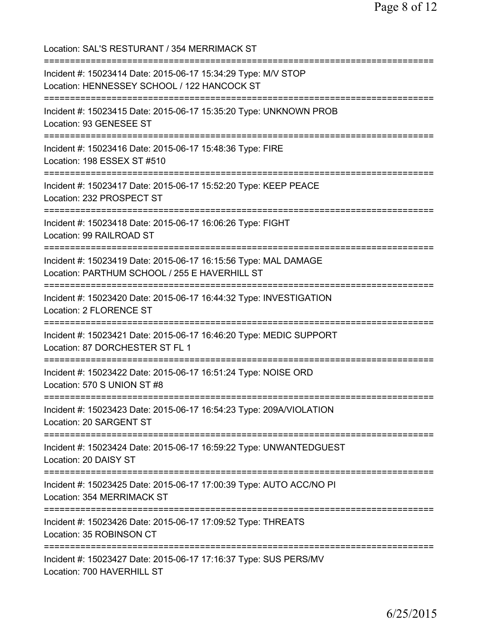Location: SAL'S RESTURANT / 354 MERRIMACK ST =========================================================================== Incident #: 15023414 Date: 2015-06-17 15:34:29 Type: M/V STOP Location: HENNESSEY SCHOOL / 122 HANCOCK ST =========================================================================== Incident #: 15023415 Date: 2015-06-17 15:35:20 Type: UNKNOWN PROB Location: 93 GENESEE ST =========================================================================== Incident #: 15023416 Date: 2015-06-17 15:48:36 Type: FIRE Location: 198 ESSEX ST #510 =========================================================================== Incident #: 15023417 Date: 2015-06-17 15:52:20 Type: KEEP PEACE Location: 232 PROSPECT ST =========================================================================== Incident #: 15023418 Date: 2015-06-17 16:06:26 Type: FIGHT Location: 99 RAILROAD ST =========================================================================== Incident #: 15023419 Date: 2015-06-17 16:15:56 Type: MAL DAMAGE Location: PARTHUM SCHOOL / 255 E HAVERHILL ST =========================================================================== Incident #: 15023420 Date: 2015-06-17 16:44:32 Type: INVESTIGATION Location: 2 FLORENCE ST =========================================================================== Incident #: 15023421 Date: 2015-06-17 16:46:20 Type: MEDIC SUPPORT Location: 87 DORCHESTER ST FL 1 =========================================================================== Incident #: 15023422 Date: 2015-06-17 16:51:24 Type: NOISE ORD Location: 570 S UNION ST #8 =========================================================================== Incident #: 15023423 Date: 2015-06-17 16:54:23 Type: 209A/VIOLATION Location: 20 SARGENT ST =========================================================================== Incident #: 15023424 Date: 2015-06-17 16:59:22 Type: UNWANTEDGUEST Location: 20 DAISY ST =========================================================================== Incident #: 15023425 Date: 2015-06-17 17:00:39 Type: AUTO ACC/NO PI Location: 354 MERRIMACK ST =========================================================================== Incident #: 15023426 Date: 2015-06-17 17:09:52 Type: THREATS Location: 35 ROBINSON CT =========================================================================== Incident #: 15023427 Date: 2015-06-17 17:16:37 Type: SUS PERS/MV Location: 700 HAVERHILL ST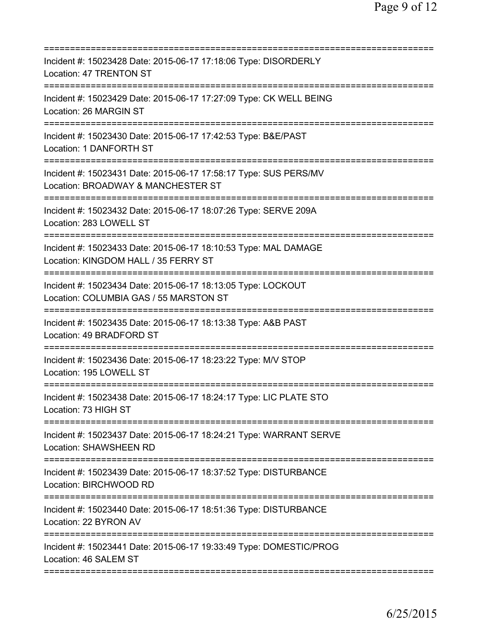| Incident #: 15023428 Date: 2015-06-17 17:18:06 Type: DISORDERLY<br>Location: 47 TRENTON ST                                                 |
|--------------------------------------------------------------------------------------------------------------------------------------------|
| Incident #: 15023429 Date: 2015-06-17 17:27:09 Type: CK WELL BEING<br>Location: 26 MARGIN ST                                               |
| Incident #: 15023430 Date: 2015-06-17 17:42:53 Type: B&E/PAST<br>Location: 1 DANFORTH ST                                                   |
| Incident #: 15023431 Date: 2015-06-17 17:58:17 Type: SUS PERS/MV<br>Location: BROADWAY & MANCHESTER ST<br>=========================        |
| Incident #: 15023432 Date: 2015-06-17 18:07:26 Type: SERVE 209A<br>Location: 283 LOWELL ST                                                 |
| Incident #: 15023433 Date: 2015-06-17 18:10:53 Type: MAL DAMAGE<br>Location: KINGDOM HALL / 35 FERRY ST<br>=============================== |
| Incident #: 15023434 Date: 2015-06-17 18:13:05 Type: LOCKOUT<br>Location: COLUMBIA GAS / 55 MARSTON ST<br>============================     |
| Incident #: 15023435 Date: 2015-06-17 18:13:38 Type: A&B PAST<br>Location: 49 BRADFORD ST                                                  |
| Incident #: 15023436 Date: 2015-06-17 18:23:22 Type: M/V STOP<br>Location: 195 LOWELL ST                                                   |
| Incident #: 15023438 Date: 2015-06-17 18:24:17 Type: LIC PLATE STO<br>Location: 73 HIGH ST                                                 |
| Incident #: 15023437 Date: 2015-06-17 18:24:21 Type: WARRANT SERVE<br>Location: SHAWSHEEN RD                                               |
| Incident #: 15023439 Date: 2015-06-17 18:37:52 Type: DISTURBANCE<br>Location: BIRCHWOOD RD                                                 |
| Incident #: 15023440 Date: 2015-06-17 18:51:36 Type: DISTURBANCE<br>Location: 22 BYRON AV                                                  |
| Incident #: 15023441 Date: 2015-06-17 19:33:49 Type: DOMESTIC/PROG<br>Location: 46 SALEM ST                                                |
|                                                                                                                                            |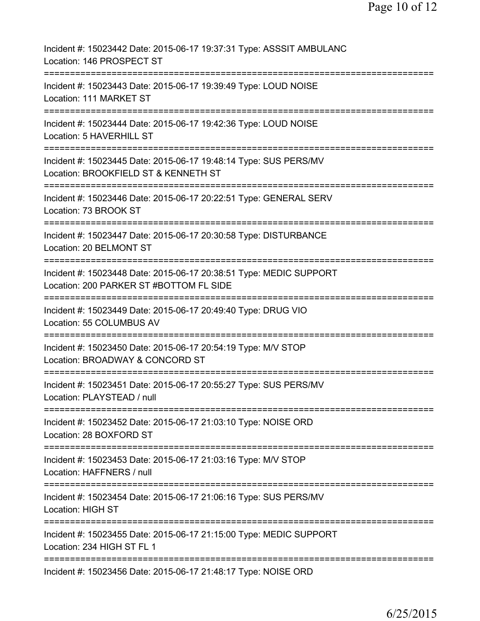| Incident #: 15023442 Date: 2015-06-17 19:37:31 Type: ASSSIT AMBULANC<br>Location: 146 PROSPECT ST                                  |
|------------------------------------------------------------------------------------------------------------------------------------|
| Incident #: 15023443 Date: 2015-06-17 19:39:49 Type: LOUD NOISE<br>Location: 111 MARKET ST                                         |
| Incident #: 15023444 Date: 2015-06-17 19:42:36 Type: LOUD NOISE<br>Location: 5 HAVERHILL ST                                        |
| Incident #: 15023445 Date: 2015-06-17 19:48:14 Type: SUS PERS/MV<br>Location: BROOKFIELD ST & KENNETH ST                           |
| Incident #: 15023446 Date: 2015-06-17 20:22:51 Type: GENERAL SERV<br>Location: 73 BROOK ST                                         |
| Incident #: 15023447 Date: 2015-06-17 20:30:58 Type: DISTURBANCE<br>Location: 20 BELMONT ST                                        |
| Incident #: 15023448 Date: 2015-06-17 20:38:51 Type: MEDIC SUPPORT<br>Location: 200 PARKER ST #BOTTOM FL SIDE                      |
| Incident #: 15023449 Date: 2015-06-17 20:49:40 Type: DRUG VIO<br>Location: 55 COLUMBUS AV<br>;==================================== |
| Incident #: 15023450 Date: 2015-06-17 20:54:19 Type: M/V STOP<br>Location: BROADWAY & CONCORD ST                                   |
| Incident #: 15023451 Date: 2015-06-17 20:55:27 Type: SUS PERS/MV<br>Location: PLAYSTEAD / null                                     |
| Incident #: 15023452 Date: 2015-06-17 21:03:10 Type: NOISE ORD<br>Location: 28 BOXFORD ST                                          |
| Incident #: 15023453 Date: 2015-06-17 21:03:16 Type: M/V STOP<br>Location: HAFFNERS / null                                         |
| Incident #: 15023454 Date: 2015-06-17 21:06:16 Type: SUS PERS/MV<br>Location: HIGH ST                                              |
| Incident #: 15023455 Date: 2015-06-17 21:15:00 Type: MEDIC SUPPORT<br>Location: 234 HIGH ST FL 1                                   |
| Incident #: 15023456 Date: 2015-06-17 21:48:17 Type: NOISE ORD                                                                     |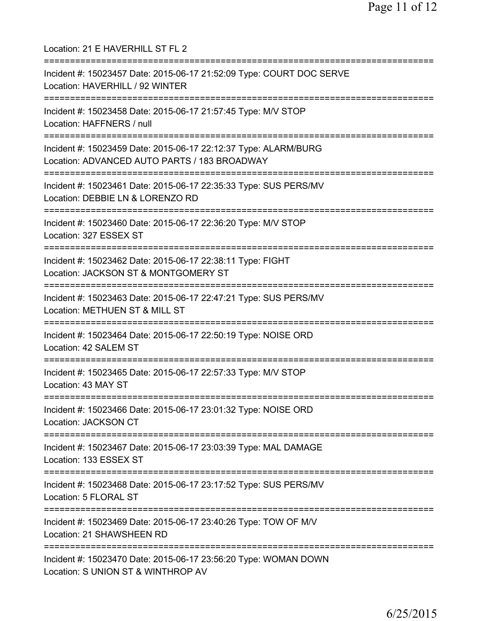Location: 21 E HAVERHILL ST FL 2 =========================================================================== Incident #: 15023457 Date: 2015-06-17 21:52:09 Type: COURT DOC SERVE Location: HAVERHILL / 92 WINTER =========================================================================== Incident #: 15023458 Date: 2015-06-17 21:57:45 Type: M/V STOP Location: HAFFNERS / null =========================================================================== Incident #: 15023459 Date: 2015-06-17 22:12:37 Type: ALARM/BURG Location: ADVANCED AUTO PARTS / 183 BROADWAY =========================================================================== Incident #: 15023461 Date: 2015-06-17 22:35:33 Type: SUS PERS/MV Location: DEBBIE LN & LORENZO RD =========================================================================== Incident #: 15023460 Date: 2015-06-17 22:36:20 Type: M/V STOP Location: 327 ESSEX ST =========================================================================== Incident #: 15023462 Date: 2015-06-17 22:38:11 Type: FIGHT Location: JACKSON ST & MONTGOMERY ST =========================================================================== Incident #: 15023463 Date: 2015-06-17 22:47:21 Type: SUS PERS/MV Location: METHUEN ST & MILL ST =========================================================================== Incident #: 15023464 Date: 2015-06-17 22:50:19 Type: NOISE ORD Location: 42 SALEM ST =========================================================================== Incident #: 15023465 Date: 2015-06-17 22:57:33 Type: M/V STOP Location: 43 MAY ST =========================================================================== Incident #: 15023466 Date: 2015-06-17 23:01:32 Type: NOISE ORD Location: JACKSON CT =========================================================================== Incident #: 15023467 Date: 2015-06-17 23:03:39 Type: MAL DAMAGE Location: 133 ESSEX ST =========================================================================== Incident #: 15023468 Date: 2015-06-17 23:17:52 Type: SUS PERS/MV Location: 5 FLORAL ST =========================================================================== Incident #: 15023469 Date: 2015-06-17 23:40:26 Type: TOW OF M/V Location: 21 SHAWSHEEN RD =========================================================================== Incident #: 15023470 Date: 2015-06-17 23:56:20 Type: WOMAN DOWN Location: S UNION ST & WINTHROP AV